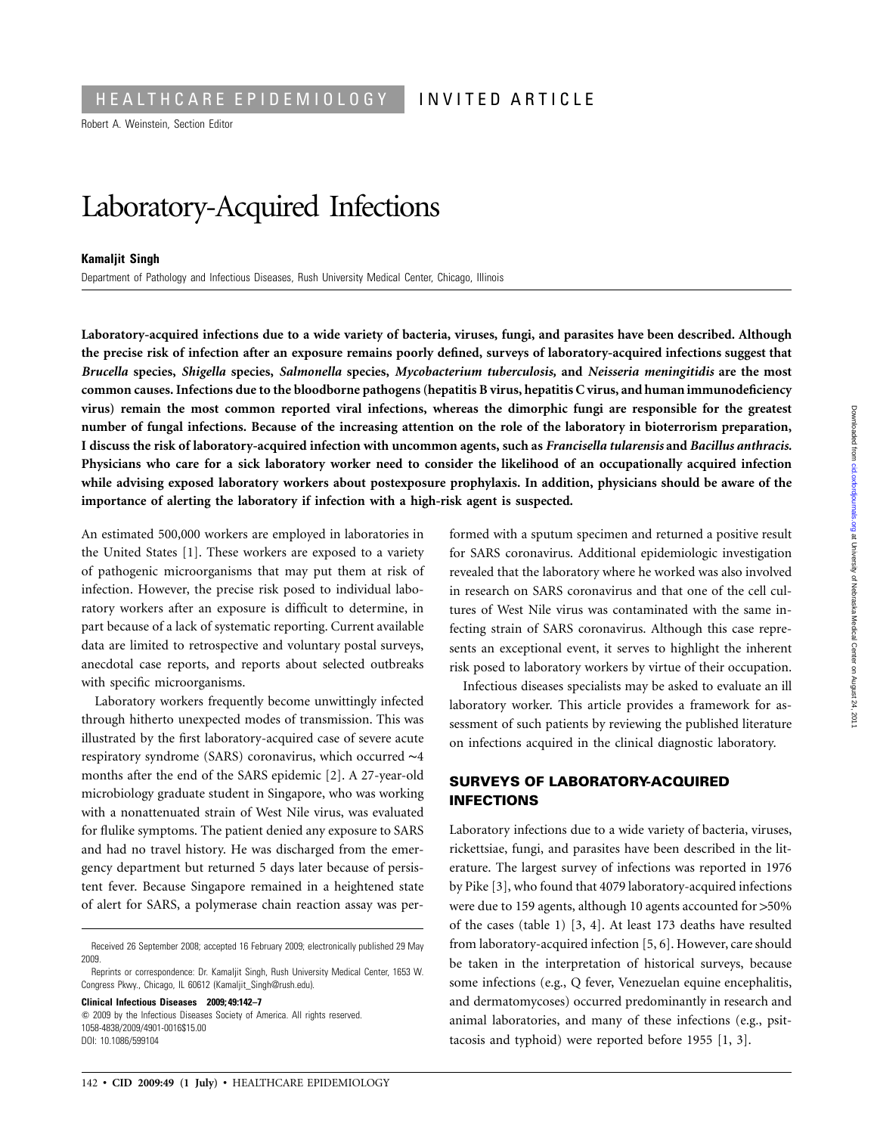Robert A. Weinstein, Section Editor

# Laboratory-Acquired Infections

#### **Kamaljit Singh**

Department of Pathology and Infectious Diseases, Rush University Medical Center, Chicago, Illinois

**Laboratory-acquired infections due to a wide variety of bacteria, viruses, fungi, and parasites have been described. Although the precise risk of infection after an exposure remains poorly defined, surveys of laboratory-acquired infections suggest that** *Brucella* **species,** *Shigella* **species,** *Salmonella* **species,** *Mycobacterium tuberculosis,* **and** *Neisseria meningitidis* **are the most common causes. Infections due to the bloodborne pathogens (hepatitis B virus, hepatitis C virus, and human immunodeficiency virus) remain the most common reported viral infections, whereas the dimorphic fungi are responsible for the greatest number of fungal infections. Because of the increasing attention on the role of the laboratory in bioterrorism preparation, I discuss the risk of laboratory-acquired infection with uncommon agents, such as** *Francisella tularensis* **and** *Bacillus anthracis.* **Physicians who care for a sick laboratory worker need to consider the likelihood of an occupationally acquired infection while advising exposed laboratory workers about postexposure prophylaxis. In addition, physicians should be aware of the importance of alerting the laboratory if infection with a high-risk agent is suspected.**

An estimated 500,000 workers are employed in laboratories in the United States [1]. These workers are exposed to a variety of pathogenic microorganisms that may put them at risk of infection. However, the precise risk posed to individual laboratory workers after an exposure is difficult to determine, in part because of a lack of systematic reporting. Current available data are limited to retrospective and voluntary postal surveys, anecdotal case reports, and reports about selected outbreaks with specific microorganisms.

Laboratory workers frequently become unwittingly infected through hitherto unexpected modes of transmission. This was illustrated by the first laboratory-acquired case of severe acute respiratory syndrome (SARS) coronavirus, which occurred ∼4 months after the end of the SARS epidemic [2]. A 27-year-old microbiology graduate student in Singapore, who was working with a nonattenuated strain of West Nile virus, was evaluated for flulike symptoms. The patient denied any exposure to SARS and had no travel history. He was discharged from the emergency department but returned 5 days later because of persistent fever. Because Singapore remained in a heightened state of alert for SARS, a polymerase chain reaction assay was per-

**Clinical Infectious Diseases 2009; 49:142–7**  $\odot$  2009 by the Infectious Diseases Society of America. All rights reserved.

1058-4838/2009/4901-0016\$15.00 DOI: 10.1086/599104

formed with a sputum specimen and returned a positive result for SARS coronavirus. Additional epidemiologic investigation revealed that the laboratory where he worked was also involved in research on SARS coronavirus and that one of the cell cultures of West Nile virus was contaminated with the same infecting strain of SARS coronavirus. Although this case represents an exceptional event, it serves to highlight the inherent risk posed to laboratory workers by virtue of their occupation.

Infectious diseases specialists may be asked to evaluate an ill laboratory worker. This article provides a framework for assessment of such patients by reviewing the published literature on infections acquired in the clinical diagnostic laboratory.

# **SURVEYS OF LABORATORY-ACQUIRED INFECTIONS**

Laboratory infections due to a wide variety of bacteria, viruses, rickettsiae, fungi, and parasites have been described in the literature. The largest survey of infections was reported in 1976 by Pike [3], who found that 4079 laboratory-acquired infections were due to 159 agents, although 10 agents accounted for  $>50\%$ of the cases (table 1) [3, 4]. At least 173 deaths have resulted from laboratory-acquired infection [5, 6]. However, care should be taken in the interpretation of historical surveys, because some infections (e.g., Q fever, Venezuelan equine encephalitis, and dermatomycoses) occurred predominantly in research and animal laboratories, and many of these infections (e.g., psittacosis and typhoid) were reported before 1955 [1, 3].

Received 26 September 2008; accepted 16 February 2009; electronically published 29 May 2009.

Reprints or correspondence: Dr. Kamaljit Singh, Rush University Medical Center, 1653 W. Congress Pkwy., Chicago, IL 60612 (Kamaljit\_Singh@rush.edu).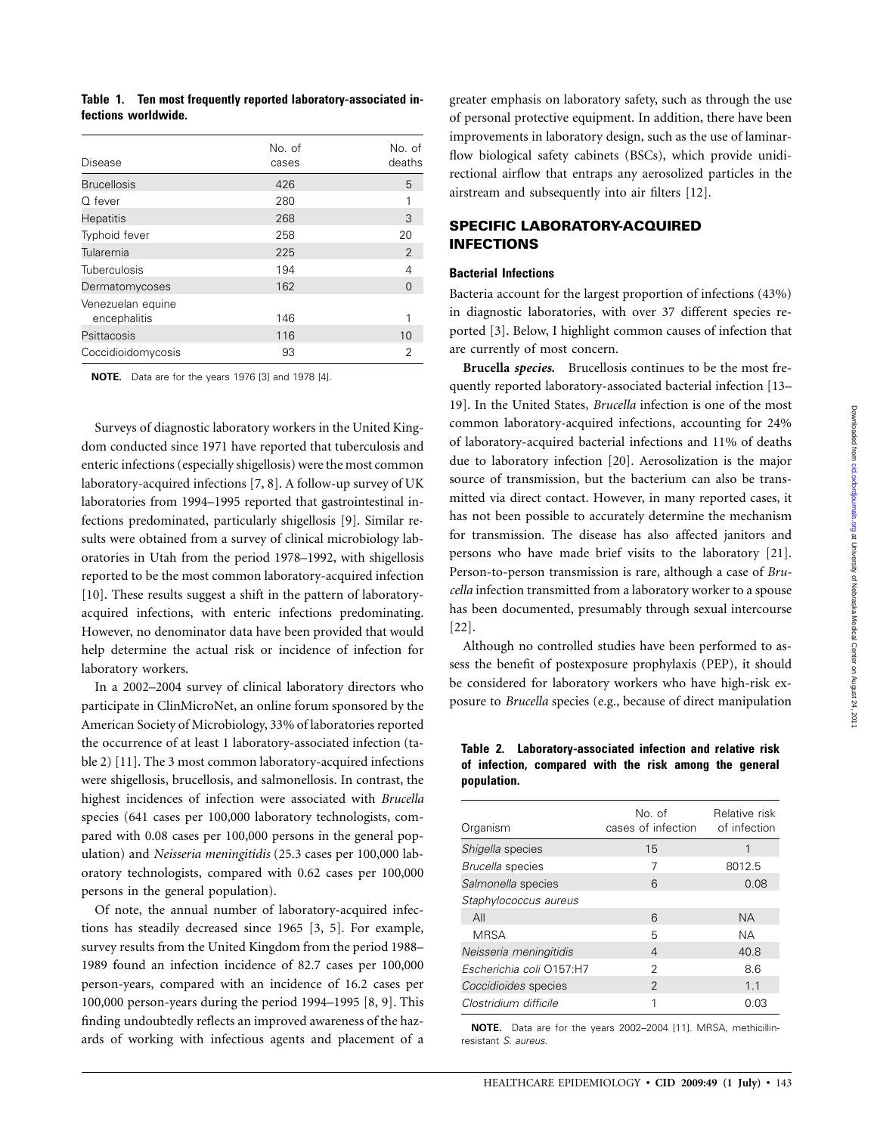|  | Table 1. Ten most frequently reported laboratory-associated in- |
|--|-----------------------------------------------------------------|
|  | fections worldwide.                                             |

| Disease                           | No. of<br>cases | No. of<br>deaths |
|-----------------------------------|-----------------|------------------|
| <b>Brucellosis</b>                | 426             | 5                |
| $O$ fever                         | 280             | 1                |
| <b>Hepatitis</b>                  | 268             | 3                |
| Typhoid fever                     | 258             | 20               |
| Tularemia                         | 225             | $\overline{2}$   |
| Tuberculosis                      | 194             | 4                |
| Dermatomycoses                    | 162             | ∩                |
| Venezuelan equine<br>encephalitis | 146             |                  |
| Psittacosis                       | 116             | 10               |
| Coccidioidomycosis                | 93              | 2                |

**NOTE.** Data are for the years 1976 [3] and 1978 [4].

Surveys of diagnostic laboratory workers in the United Kingdom conducted since 1971 have reported that tuberculosis and enteric infections (especially shigellosis) were the most common laboratory-acquired infections [7, 8]. A follow-up survey of UK laboratories from 1994–1995 reported that gastrointestinal infections predominated, particularly shigellosis [9]. Similar results were obtained from a survey of clinical microbiology laboratories in Utah from the period 1978–1992, with shigellosis reported to be the most common laboratory-acquired infection [10]. These results suggest a shift in the pattern of laboratoryacquired infections, with enteric infections predominating. However, no denominator data have been provided that would help determine the actual risk or incidence of infection for laboratory workers.

In a 2002–2004 survey of clinical laboratory directors who participate in ClinMicroNet, an online forum sponsored by the American Society of Microbiology, 33% of laboratories reported the occurrence of at least 1 laboratory-associated infection (table 2) [11]. The 3 most common laboratory-acquired infections were shigellosis, brucellosis, and salmonellosis. In contrast, the highest incidences of infection were associated with *Brucella* species (641 cases per 100,000 laboratory technologists, compared with 0.08 cases per 100,000 persons in the general population) and *Neisseria meningitidis* (25.3 cases per 100,000 laboratory technologists, compared with 0.62 cases per 100,000 persons in the general population).

Of note, the annual number of laboratory-acquired infections has steadily decreased since 1965 [3, 5]. For example, survey results from the United Kingdom from the period 1988– 1989 found an infection incidence of 82.7 cases per 100,000 person-years, compared with an incidence of 16.2 cases per 100,000 person-years during the period 1994–1995 [8, 9]. This finding undoubtedly reflects an improved awareness of the hazards of working with infectious agents and placement of a greater emphasis on laboratory safety, such as through the use of personal protective equipment. In addition, there have been improvements in laboratory design, such as the use of laminarflow biological safety cabinets (BSCs), which provide unidirectional airflow that entraps any aerosolized particles in the airstream and subsequently into air filters [12].

## **SPECIFIC LABORATORY-ACQUIRED INFECTIONS**

## **Bacterial Infections**

Bacteria account for the largest proportion of infections (43%) in diagnostic laboratories, with over 37 different species reported [3]. Below, I highlight common causes of infection that are currently of most concern.

**Brucella** *species.* Brucellosis continues to be the most frequently reported laboratory-associated bacterial infection [13– 19]. In the United States, *Brucella* infection is one of the most common laboratory-acquired infections, accounting for 24% of laboratory-acquired bacterial infections and 11% of deaths due to laboratory infection [20]. Aerosolization is the major source of transmission, but the bacterium can also be transmitted via direct contact. However, in many reported cases, it has not been possible to accurately determine the mechanism for transmission. The disease has also affected janitors and persons who have made brief visits to the laboratory [21]. Person-to-person transmission is rare, although a case of *Brucella* infection transmitted from a laboratory worker to a spouse has been documented, presumably through sexual intercourse [22].

Although no controlled studies have been performed to assess the benefit of postexposure prophylaxis (PEP), it should be considered for laboratory workers who have high-risk exposure to *Brucella* species (e.g., because of direct manipulation

**Table 2. Laboratory-associated infection and relative risk of infection, compared with the risk among the general population.**

| Organism                 | No. of<br>cases of infection | Relative risk<br>of infection |
|--------------------------|------------------------------|-------------------------------|
| Shigella species         | 15                           |                               |
| Brucella species         | 7                            | 8012.5                        |
| Salmonella species       | 6                            | 0.08                          |
| Staphylococcus aureus    |                              |                               |
| All                      | 6                            | <b>NA</b>                     |
| <b>MRSA</b>              | 5                            | NА                            |
| Neisseria meningitidis   | 4                            | 40.8                          |
| Escherichia coli 0157:H7 | 2                            | 8.6                           |
| Coccidioides species     | $\mathcal{P}$                | 11                            |
| Clostridium difficile    |                              | 0.03                          |

**NOTE.** Data are for the years 2002–2004 [11]. MRSA, methicillinresistant *S. aureus.*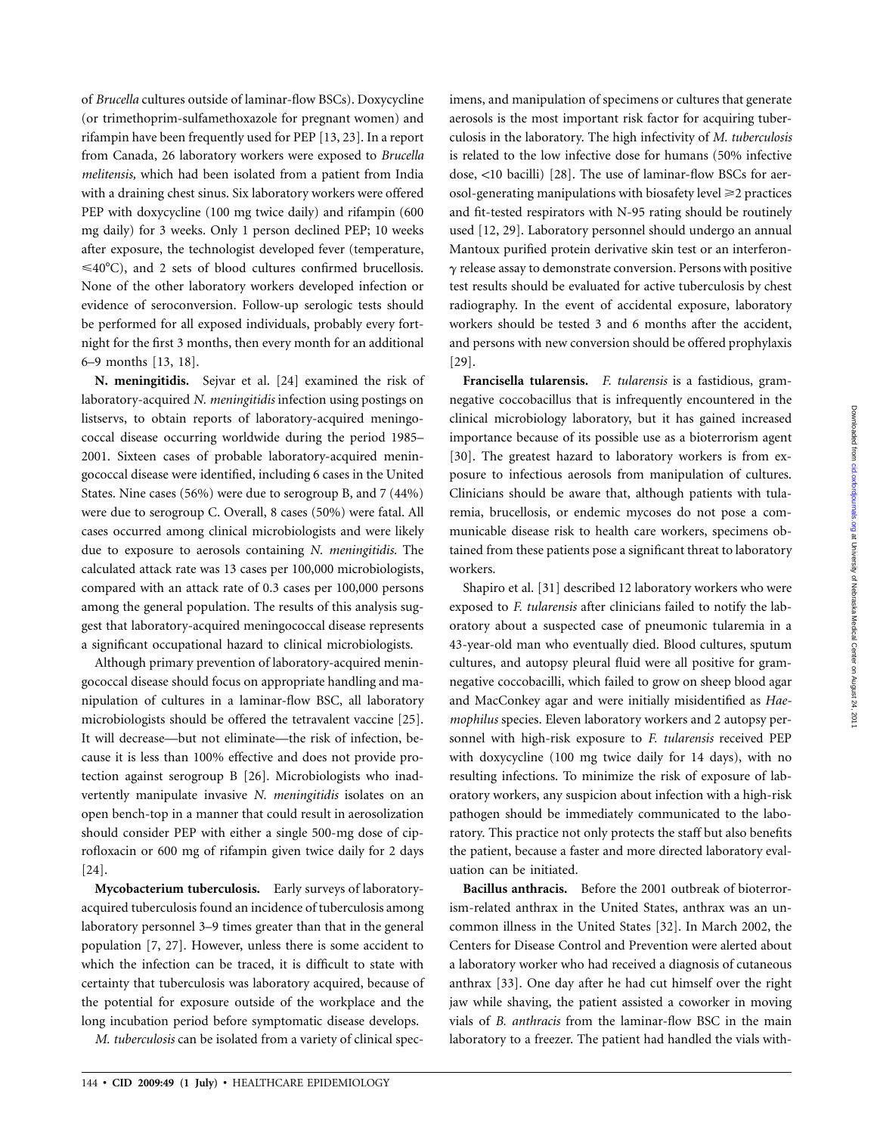of *Brucella* cultures outside of laminar-flow BSCs). Doxycycline (or trimethoprim-sulfamethoxazole for pregnant women) and rifampin have been frequently used for PEP [13, 23]. In a report from Canada, 26 laboratory workers were exposed to *Brucella melitensis,* which had been isolated from a patient from India with a draining chest sinus. Six laboratory workers were offered PEP with doxycycline (100 mg twice daily) and rifampin (600 mg daily) for 3 weeks. Only 1 person declined PEP; 10 weeks after exposure, the technologist developed fever (temperature,  $\leq 40^{\circ}$ C), and 2 sets of blood cultures confirmed brucellosis. None of the other laboratory workers developed infection or evidence of seroconversion. Follow-up serologic tests should be performed for all exposed individuals, probably every fortnight for the first 3 months, then every month for an additional 6–9 months [13, 18].

**N. meningitidis.** Sejvar et al. [24] examined the risk of laboratory-acquired *N. meningitidis* infection using postings on listservs, to obtain reports of laboratory-acquired meningococcal disease occurring worldwide during the period 1985– 2001. Sixteen cases of probable laboratory-acquired meningococcal disease were identified, including 6 cases in the United States. Nine cases (56%) were due to serogroup B, and 7 (44%) were due to serogroup C. Overall, 8 cases (50%) were fatal. All cases occurred among clinical microbiologists and were likely due to exposure to aerosols containing *N. meningitidis.* The calculated attack rate was 13 cases per 100,000 microbiologists, compared with an attack rate of 0.3 cases per 100,000 persons among the general population. The results of this analysis suggest that laboratory-acquired meningococcal disease represents a significant occupational hazard to clinical microbiologists.

Although primary prevention of laboratory-acquired meningococcal disease should focus on appropriate handling and manipulation of cultures in a laminar-flow BSC, all laboratory microbiologists should be offered the tetravalent vaccine [25]. It will decrease—but not eliminate—the risk of infection, because it is less than 100% effective and does not provide protection against serogroup B [26]. Microbiologists who inadvertently manipulate invasive *N. meningitidis* isolates on an open bench-top in a manner that could result in aerosolization should consider PEP with either a single 500-mg dose of ciprofloxacin or 600 mg of rifampin given twice daily for 2 days [24].

**Mycobacterium tuberculosis.** Early surveys of laboratoryacquired tuberculosis found an incidence of tuberculosis among laboratory personnel 3–9 times greater than that in the general population [7, 27]. However, unless there is some accident to which the infection can be traced, it is difficult to state with certainty that tuberculosis was laboratory acquired, because of the potential for exposure outside of the workplace and the long incubation period before symptomatic disease develops.

*M. tuberculosis* can be isolated from a variety of clinical spec-

imens, and manipulation of specimens or cultures that generate aerosols is the most important risk factor for acquiring tuberculosis in the laboratory. The high infectivity of *M. tuberculosis* is related to the low infective dose for humans (50% infective dose,  $<$ 10 bacilli) [28]. The use of laminar-flow BSCs for aerosol-generating manipulations with biosafety level ≥2 practices and fit-tested respirators with N-95 rating should be routinely used [12, 29]. Laboratory personnel should undergo an annual Mantoux purified protein derivative skin test or an interferon- $\gamma$  release assay to demonstrate conversion. Persons with positive test results should be evaluated for active tuberculosis by chest radiography. In the event of accidental exposure, laboratory workers should be tested 3 and 6 months after the accident, and persons with new conversion should be offered prophylaxis [29].

**Francisella tularensis.** *F. tularensis* is a fastidious, gramnegative coccobacillus that is infrequently encountered in the clinical microbiology laboratory, but it has gained increased importance because of its possible use as a bioterrorism agent [30]. The greatest hazard to laboratory workers is from exposure to infectious aerosols from manipulation of cultures. Clinicians should be aware that, although patients with tularemia, brucellosis, or endemic mycoses do not pose a communicable disease risk to health care workers, specimens obtained from these patients pose a significant threat to laboratory workers.

Shapiro et al. [31] described 12 laboratory workers who were exposed to *F. tularensis* after clinicians failed to notify the laboratory about a suspected case of pneumonic tularemia in a 43-year-old man who eventually died. Blood cultures, sputum cultures, and autopsy pleural fluid were all positive for gramnegative coccobacilli, which failed to grow on sheep blood agar and MacConkey agar and were initially misidentified as *Haemophilus* species. Eleven laboratory workers and 2 autopsy personnel with high-risk exposure to *F. tularensis* received PEP with doxycycline (100 mg twice daily for 14 days), with no resulting infections. To minimize the risk of exposure of laboratory workers, any suspicion about infection with a high-risk pathogen should be immediately communicated to the laboratory. This practice not only protects the staff but also benefits the patient, because a faster and more directed laboratory evaluation can be initiated.

**Bacillus anthracis.** Before the 2001 outbreak of bioterrorism-related anthrax in the United States, anthrax was an uncommon illness in the United States [32]. In March 2002, the Centers for Disease Control and Prevention were alerted about a laboratory worker who had received a diagnosis of cutaneous anthrax [33]. One day after he had cut himself over the right jaw while shaving, the patient assisted a coworker in moving vials of *B. anthracis* from the laminar-flow BSC in the main laboratory to a freezer. The patient had handled the vials with-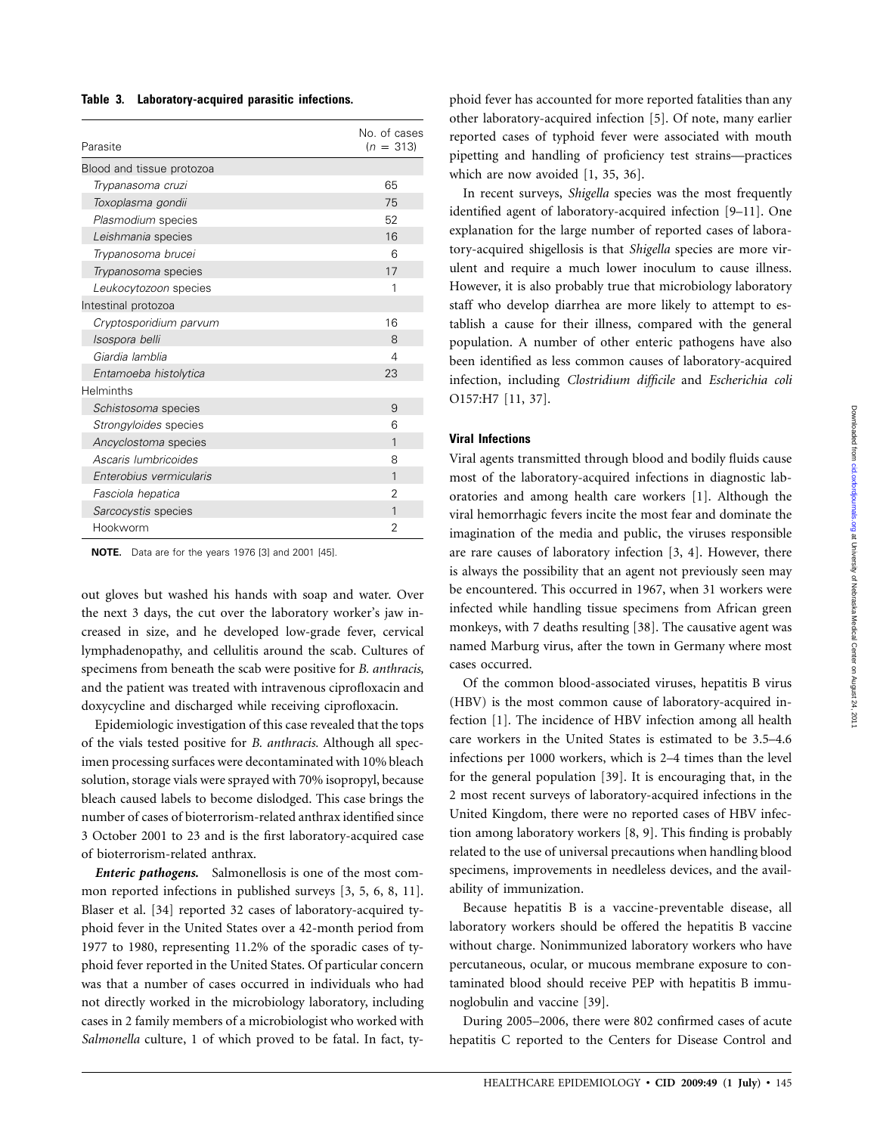| Parasite                     | No. of cases<br>$(n = 313)$ |
|------------------------------|-----------------------------|
| Blood and tissue protozoa    |                             |
| Trypanasoma cruzi            | 65                          |
| Toxoplasma gondii            | 75                          |
| Plasmodium species           | 52                          |
| Leishmania species           | 16                          |
| Trypanosoma brucei           | 6                           |
| Trypanosoma species          | 17                          |
| Leukocytozoon species        | 1                           |
| Intestinal protozoa          |                             |
| Cryptosporidium parvum       | 16                          |
| Isospora belli               | 8                           |
| Giardia lamblia              | 4                           |
| Entamoeba histolytica        | 23                          |
| Helminths                    |                             |
| Schistosoma species          | 9                           |
| <i>Strongyloides</i> species | 6                           |
| Ancyclostoma species         | 1                           |
| Ascaris lumbricoides         | 8                           |
| Enterobius vermicularis      | 1                           |
| Fasciola hepatica            | 2                           |
| Sarcocystis species          | 1                           |
| Hookworm                     | $\overline{2}$              |

**NOTE.** Data are for the years 1976 [3] and 2001 [45].

out gloves but washed his hands with soap and water. Over the next 3 days, the cut over the laboratory worker's jaw increased in size, and he developed low-grade fever, cervical lymphadenopathy, and cellulitis around the scab. Cultures of specimens from beneath the scab were positive for *B. anthracis,* and the patient was treated with intravenous ciprofloxacin and doxycycline and discharged while receiving ciprofloxacin.

Epidemiologic investigation of this case revealed that the tops of the vials tested positive for *B. anthracis.* Although all specimen processing surfaces were decontaminated with 10% bleach solution, storage vials were sprayed with 70% isopropyl, because bleach caused labels to become dislodged. This case brings the number of cases of bioterrorism-related anthrax identified since 3 October 2001 to 23 and is the first laboratory-acquired case of bioterrorism-related anthrax.

*Enteric pathogens.* Salmonellosis is one of the most common reported infections in published surveys [3, 5, 6, 8, 11]. Blaser et al. [34] reported 32 cases of laboratory-acquired typhoid fever in the United States over a 42-month period from 1977 to 1980, representing 11.2% of the sporadic cases of typhoid fever reported in the United States. Of particular concern was that a number of cases occurred in individuals who had not directly worked in the microbiology laboratory, including cases in 2 family members of a microbiologist who worked with *Salmonella* culture, 1 of which proved to be fatal. In fact, ty-

phoid fever has accounted for more reported fatalities than any other laboratory-acquired infection [5]. Of note, many earlier reported cases of typhoid fever were associated with mouth pipetting and handling of proficiency test strains—practices which are now avoided [1, 35, 36].

In recent surveys, *Shigella* species was the most frequently identified agent of laboratory-acquired infection [9–11]. One explanation for the large number of reported cases of laboratory-acquired shigellosis is that *Shigella* species are more virulent and require a much lower inoculum to cause illness. However, it is also probably true that microbiology laboratory staff who develop diarrhea are more likely to attempt to establish a cause for their illness, compared with the general population. A number of other enteric pathogens have also been identified as less common causes of laboratory-acquired infection, including *Clostridium difficile* and *Escherichia coli* O157:H7 [11, 37].

## **Viral Infections**

Viral agents transmitted through blood and bodily fluids cause most of the laboratory-acquired infections in diagnostic laboratories and among health care workers [1]. Although the viral hemorrhagic fevers incite the most fear and dominate the imagination of the media and public, the viruses responsible are rare causes of laboratory infection [3, 4]. However, there is always the possibility that an agent not previously seen may be encountered. This occurred in 1967, when 31 workers were infected while handling tissue specimens from African green monkeys, with 7 deaths resulting [38]. The causative agent was named Marburg virus, after the town in Germany where most cases occurred.

Of the common blood-associated viruses, hepatitis B virus (HBV) is the most common cause of laboratory-acquired infection [1]. The incidence of HBV infection among all health care workers in the United States is estimated to be 3.5–4.6 infections per 1000 workers, which is 2–4 times than the level for the general population [39]. It is encouraging that, in the 2 most recent surveys of laboratory-acquired infections in the United Kingdom, there were no reported cases of HBV infection among laboratory workers [8, 9]. This finding is probably related to the use of universal precautions when handling blood specimens, improvements in needleless devices, and the availability of immunization.

Because hepatitis B is a vaccine-preventable disease, all laboratory workers should be offered the hepatitis B vaccine without charge. Nonimmunized laboratory workers who have percutaneous, ocular, or mucous membrane exposure to contaminated blood should receive PEP with hepatitis B immunoglobulin and vaccine [39].

During 2005–2006, there were 802 confirmed cases of acute hepatitis C reported to the Centers for Disease Control and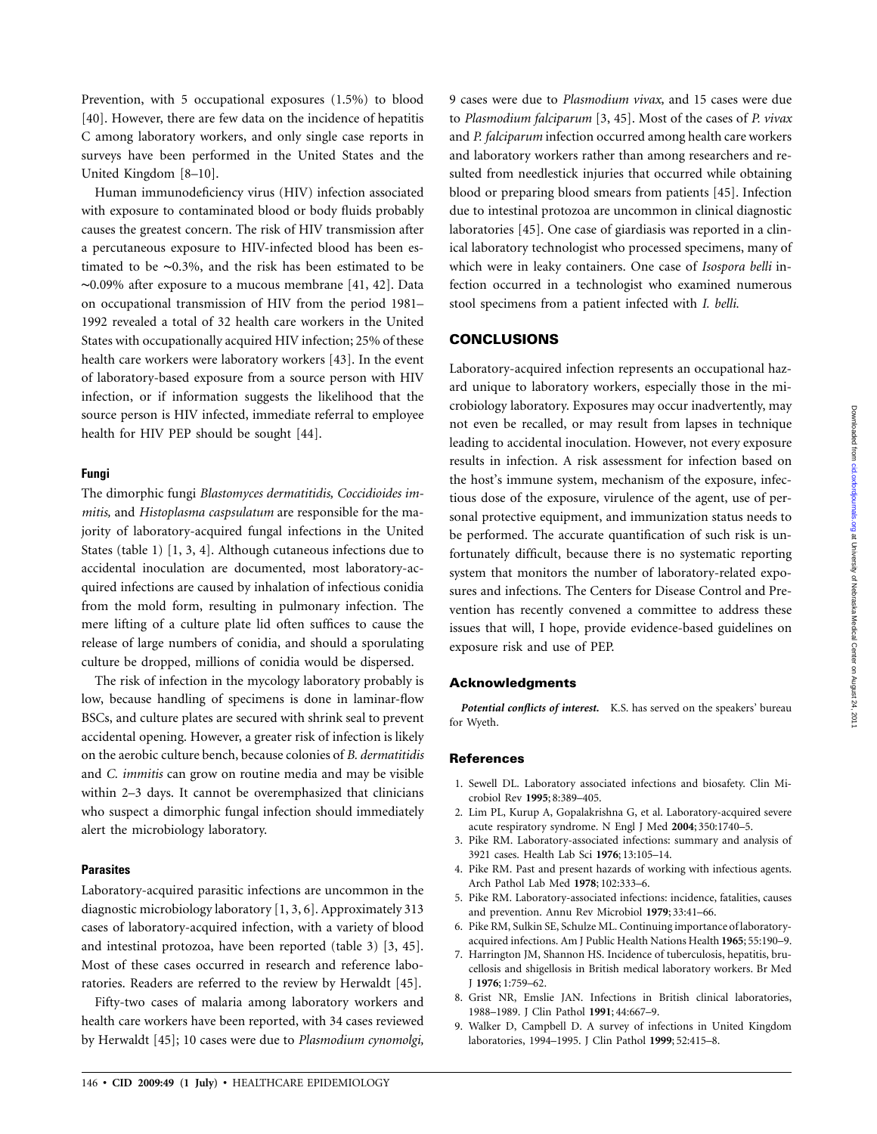Prevention, with 5 occupational exposures (1.5%) to blood [40]. However, there are few data on the incidence of hepatitis C among laboratory workers, and only single case reports in surveys have been performed in the United States and the United Kingdom [8–10].

Human immunodeficiency virus (HIV) infection associated with exposure to contaminated blood or body fluids probably causes the greatest concern. The risk of HIV transmission after a percutaneous exposure to HIV-infected blood has been estimated to be ∼0.3%, and the risk has been estimated to be ∼0.09% after exposure to a mucous membrane [41, 42]. Data on occupational transmission of HIV from the period 1981– 1992 revealed a total of 32 health care workers in the United States with occupationally acquired HIV infection; 25% of these health care workers were laboratory workers [43]. In the event of laboratory-based exposure from a source person with HIV infection, or if information suggests the likelihood that the source person is HIV infected, immediate referral to employee health for HIV PEP should be sought [44].

## **Fungi**

The dimorphic fungi *Blastomyces dermatitidis, Coccidioides immitis,* and *Histoplasma caspsulatum* are responsible for the majority of laboratory-acquired fungal infections in the United States (table 1) [1, 3, 4]. Although cutaneous infections due to accidental inoculation are documented, most laboratory-acquired infections are caused by inhalation of infectious conidia from the mold form, resulting in pulmonary infection. The mere lifting of a culture plate lid often suffices to cause the release of large numbers of conidia, and should a sporulating culture be dropped, millions of conidia would be dispersed.

The risk of infection in the mycology laboratory probably is low, because handling of specimens is done in laminar-flow BSCs, and culture plates are secured with shrink seal to prevent accidental opening. However, a greater risk of infection is likely on the aerobic culture bench, because colonies of *B. dermatitidis* and *C. immitis* can grow on routine media and may be visible within 2–3 days. It cannot be overemphasized that clinicians who suspect a dimorphic fungal infection should immediately alert the microbiology laboratory.

#### **Parasites**

Laboratory-acquired parasitic infections are uncommon in the diagnostic microbiology laboratory [1, 3, 6]. Approximately 313 cases of laboratory-acquired infection, with a variety of blood and intestinal protozoa, have been reported (table 3) [3, 45]. Most of these cases occurred in research and reference laboratories. Readers are referred to the review by Herwaldt [45].

Fifty-two cases of malaria among laboratory workers and health care workers have been reported, with 34 cases reviewed by Herwaldt [45]; 10 cases were due to *Plasmodium cynomolgi,*

9 cases were due to *Plasmodium vivax,* and 15 cases were due to *Plasmodium falciparum* [3, 45]. Most of the cases of *P. vivax* and *P. falciparum* infection occurred among health care workers and laboratory workers rather than among researchers and resulted from needlestick injuries that occurred while obtaining blood or preparing blood smears from patients [45]. Infection due to intestinal protozoa are uncommon in clinical diagnostic laboratories [45]. One case of giardiasis was reported in a clinical laboratory technologist who processed specimens, many of which were in leaky containers. One case of *Isospora belli* infection occurred in a technologist who examined numerous stool specimens from a patient infected with *I. belli.*

## **CONCLUSIONS**

Laboratory-acquired infection represents an occupational hazard unique to laboratory workers, especially those in the microbiology laboratory. Exposures may occur inadvertently, may not even be recalled, or may result from lapses in technique leading to accidental inoculation. However, not every exposure results in infection. A risk assessment for infection based on the host's immune system, mechanism of the exposure, infectious dose of the exposure, virulence of the agent, use of personal protective equipment, and immunization status needs to be performed. The accurate quantification of such risk is unfortunately difficult, because there is no systematic reporting system that monitors the number of laboratory-related exposures and infections. The Centers for Disease Control and Prevention has recently convened a committee to address these issues that will, I hope, provide evidence-based guidelines on exposure risk and use of PEP.

#### **Acknowledgments**

Potential conflicts of interest. K.S. has served on the speakers' bureau for Wyeth.

#### **References**

- 1. Sewell DL. Laboratory associated infections and biosafety. Clin Microbiol Rev **1995**; 8:389–405.
- 2. Lim PL, Kurup A, Gopalakrishna G, et al. Laboratory-acquired severe acute respiratory syndrome. N Engl J Med **2004**; 350:1740–5.
- 3. Pike RM. Laboratory-associated infections: summary and analysis of 3921 cases. Health Lab Sci **1976**; 13:105–14.
- 4. Pike RM. Past and present hazards of working with infectious agents. Arch Pathol Lab Med **1978**; 102:333–6.
- 5. Pike RM. Laboratory-associated infections: incidence, fatalities, causes and prevention. Annu Rev Microbiol **1979**; 33:41–66.
- 6. Pike RM, Sulkin SE, Schulze ML. Continuing importance of laboratoryacquired infections. Am J Public Health Nations Health **1965**; 55:190–9.
- 7. Harrington JM, Shannon HS. Incidence of tuberculosis, hepatitis, brucellosis and shigellosis in British medical laboratory workers. Br Med J **1976**; 1:759–62.
- 8. Grist NR, Emslie JAN. Infections in British clinical laboratories, 1988–1989. J Clin Pathol **1991**; 44:667–9.
- 9. Walker D, Campbell D. A survey of infections in United Kingdom laboratories, 1994–1995. J Clin Pathol **1999**; 52:415–8.